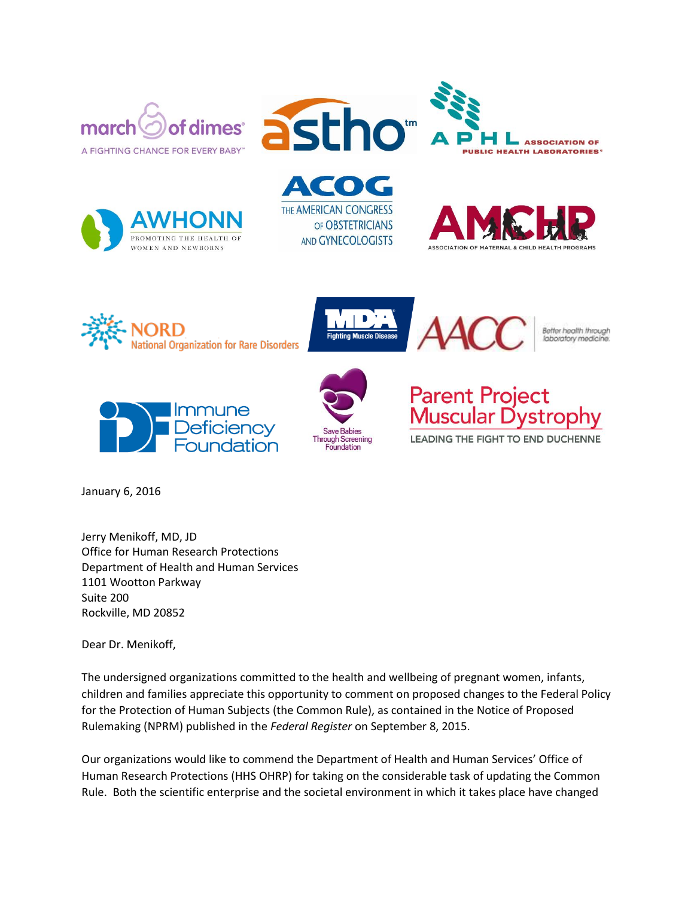







**ACOG** THE AMERICAN CONGRESS OF OBSTETRICIANS AND GYNECOLOGISTS







Better health through laboratory medic







LEADING THE FIGHT TO END DUCHENNE

January 6, 2016

Jerry Menikoff, MD, JD Office for Human Research Protections Department of Health and Human Services 1101 Wootton Parkway Suite 200 Rockville, MD 20852

Dear Dr. Menikoff,

The undersigned organizations committed to the health and wellbeing of pregnant women, infants, children and families appreciate this opportunity to comment on proposed changes to the Federal Policy for the Protection of Human Subjects (the Common Rule), as contained in the Notice of Proposed Rulemaking (NPRM) published in the *Federal Register* on September 8, 2015.

Our organizations would like to commend the Department of Health and Human Services' Office of Human Research Protections (HHS OHRP) for taking on the considerable task of updating the Common Rule. Both the scientific enterprise and the societal environment in which it takes place have changed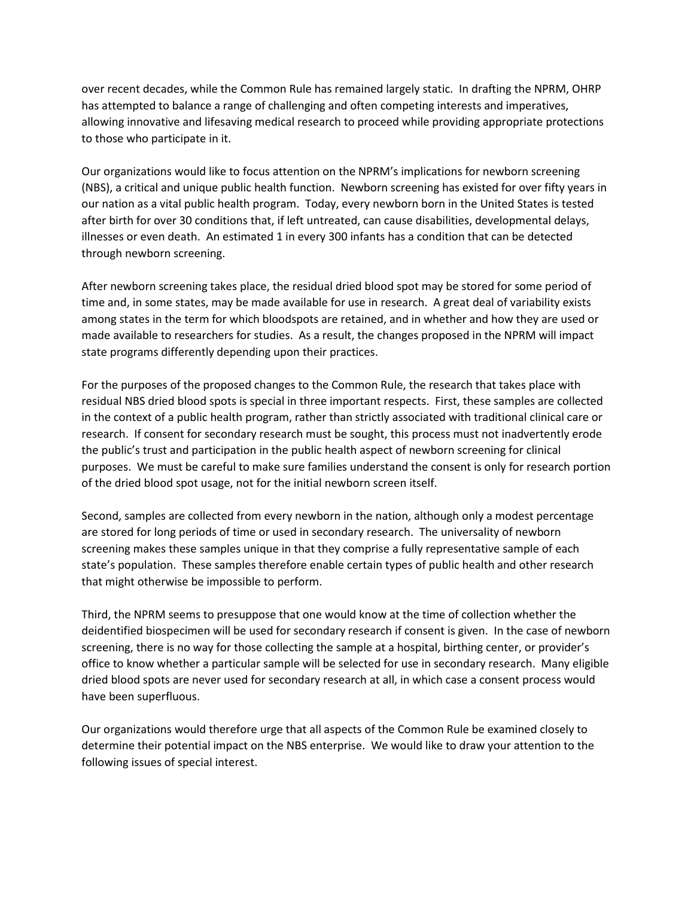over recent decades, while the Common Rule has remained largely static. In drafting the NPRM, OHRP has attempted to balance a range of challenging and often competing interests and imperatives, allowing innovative and lifesaving medical research to proceed while providing appropriate protections to those who participate in it.

Our organizations would like to focus attention on the NPRM's implications for newborn screening (NBS), a critical and unique public health function. Newborn screening has existed for over fifty years in our nation as a vital public health program. Today, every newborn born in the United States is tested after birth for over 30 conditions that, if left untreated, can cause disabilities, developmental delays, illnesses or even death. An estimated 1 in every 300 infants has a condition that can be detected through newborn screening.

After newborn screening takes place, the residual dried blood spot may be stored for some period of time and, in some states, may be made available for use in research. A great deal of variability exists among states in the term for which bloodspots are retained, and in whether and how they are used or made available to researchers for studies. As a result, the changes proposed in the NPRM will impact state programs differently depending upon their practices.

For the purposes of the proposed changes to the Common Rule, the research that takes place with residual NBS dried blood spots is special in three important respects. First, these samples are collected in the context of a public health program, rather than strictly associated with traditional clinical care or research. If consent for secondary research must be sought, this process must not inadvertently erode the public's trust and participation in the public health aspect of newborn screening for clinical purposes. We must be careful to make sure families understand the consent is only for research portion of the dried blood spot usage, not for the initial newborn screen itself.

Second, samples are collected from every newborn in the nation, although only a modest percentage are stored for long periods of time or used in secondary research. The universality of newborn screening makes these samples unique in that they comprise a fully representative sample of each state's population. These samples therefore enable certain types of public health and other research that might otherwise be impossible to perform.

Third, the NPRM seems to presuppose that one would know at the time of collection whether the deidentified biospecimen will be used for secondary research if consent is given. In the case of newborn screening, there is no way for those collecting the sample at a hospital, birthing center, or provider's office to know whether a particular sample will be selected for use in secondary research. Many eligible dried blood spots are never used for secondary research at all, in which case a consent process would have been superfluous.

Our organizations would therefore urge that all aspects of the Common Rule be examined closely to determine their potential impact on the NBS enterprise. We would like to draw your attention to the following issues of special interest.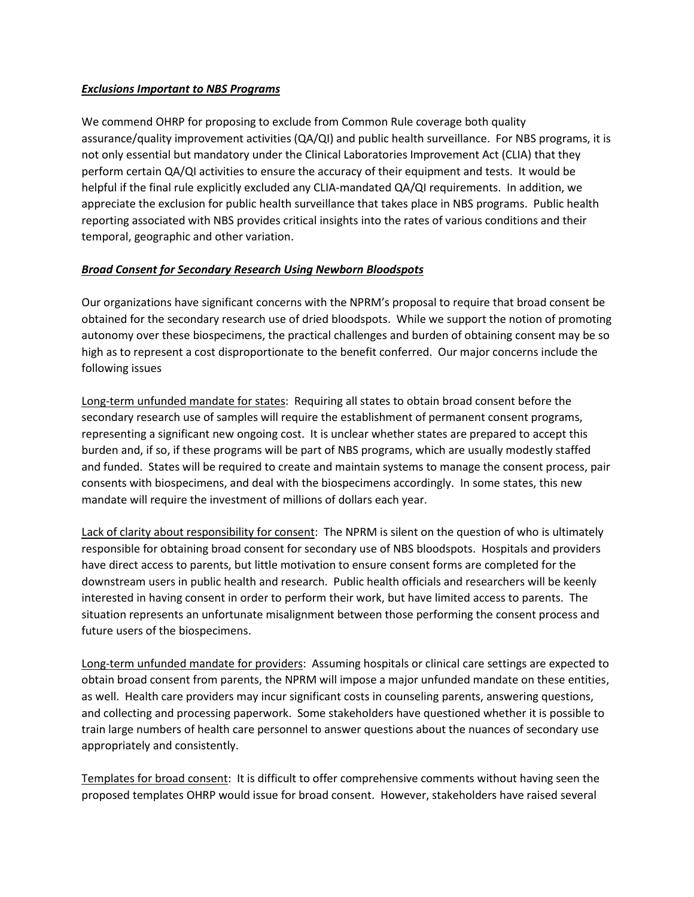# *Exclusions Important to NBS Programs*

We commend OHRP for proposing to exclude from Common Rule coverage both quality assurance/quality improvement activities (QA/QI) and public health surveillance. For NBS programs, it is not only essential but mandatory under the Clinical Laboratories Improvement Act (CLIA) that they perform certain QA/QI activities to ensure the accuracy of their equipment and tests. It would be helpful if the final rule explicitly excluded any CLIA-mandated QA/QI requirements. In addition, we appreciate the exclusion for public health surveillance that takes place in NBS programs. Public health reporting associated with NBS provides critical insights into the rates of various conditions and their temporal, geographic and other variation.

# *Broad Consent for Secondary Research Using Newborn Bloodspots*

Our organizations have significant concerns with the NPRM's proposal to require that broad consent be obtained for the secondary research use of dried bloodspots. While we support the notion of promoting autonomy over these biospecimens, the practical challenges and burden of obtaining consent may be so high as to represent a cost disproportionate to the benefit conferred. Our major concerns include the following issues

Long-term unfunded mandate for states: Requiring all states to obtain broad consent before the secondary research use of samples will require the establishment of permanent consent programs, representing a significant new ongoing cost. It is unclear whether states are prepared to accept this burden and, if so, if these programs will be part of NBS programs, which are usually modestly staffed and funded. States will be required to create and maintain systems to manage the consent process, pair consents with biospecimens, and deal with the biospecimens accordingly. In some states, this new mandate will require the investment of millions of dollars each year.

Lack of clarity about responsibility for consent: The NPRM is silent on the question of who is ultimately responsible for obtaining broad consent for secondary use of NBS bloodspots. Hospitals and providers have direct access to parents, but little motivation to ensure consent forms are completed for the downstream users in public health and research. Public health officials and researchers will be keenly interested in having consent in order to perform their work, but have limited access to parents. The situation represents an unfortunate misalignment between those performing the consent process and future users of the biospecimens.

Long-term unfunded mandate for providers: Assuming hospitals or clinical care settings are expected to obtain broad consent from parents, the NPRM will impose a major unfunded mandate on these entities, as well. Health care providers may incur significant costs in counseling parents, answering questions, and collecting and processing paperwork. Some stakeholders have questioned whether it is possible to train large numbers of health care personnel to answer questions about the nuances of secondary use appropriately and consistently.

Templates for broad consent: It is difficult to offer comprehensive comments without having seen the proposed templates OHRP would issue for broad consent. However, stakeholders have raised several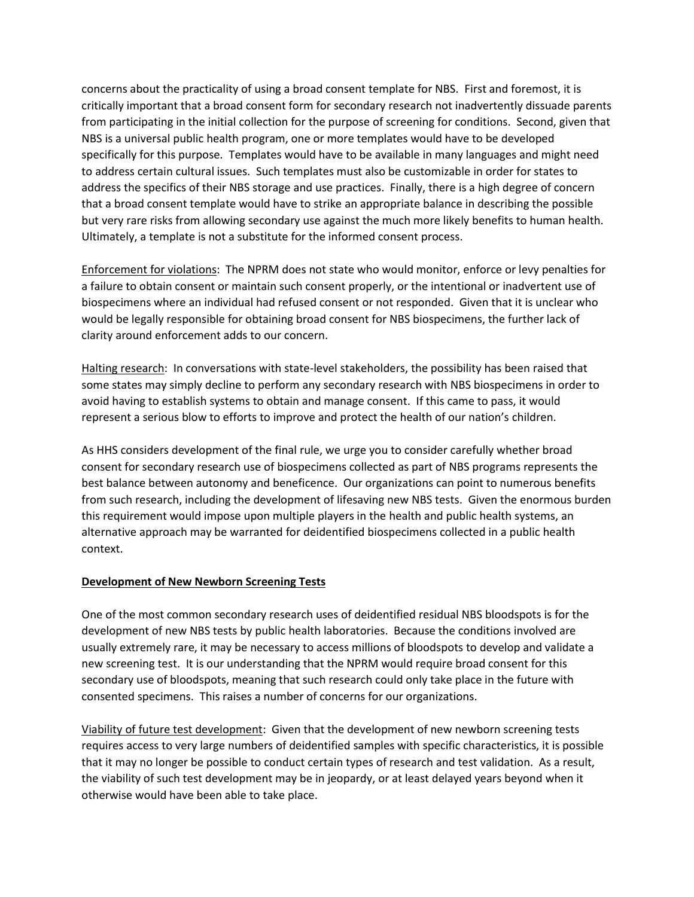concerns about the practicality of using a broad consent template for NBS. First and foremost, it is critically important that a broad consent form for secondary research not inadvertently dissuade parents from participating in the initial collection for the purpose of screening for conditions. Second, given that NBS is a universal public health program, one or more templates would have to be developed specifically for this purpose. Templates would have to be available in many languages and might need to address certain cultural issues. Such templates must also be customizable in order for states to address the specifics of their NBS storage and use practices. Finally, there is a high degree of concern that a broad consent template would have to strike an appropriate balance in describing the possible but very rare risks from allowing secondary use against the much more likely benefits to human health. Ultimately, a template is not a substitute for the informed consent process.

Enforcement for violations: The NPRM does not state who would monitor, enforce or levy penalties for a failure to obtain consent or maintain such consent properly, or the intentional or inadvertent use of biospecimens where an individual had refused consent or not responded. Given that it is unclear who would be legally responsible for obtaining broad consent for NBS biospecimens, the further lack of clarity around enforcement adds to our concern.

Halting research: In conversations with state-level stakeholders, the possibility has been raised that some states may simply decline to perform any secondary research with NBS biospecimens in order to avoid having to establish systems to obtain and manage consent. If this came to pass, it would represent a serious blow to efforts to improve and protect the health of our nation's children.

As HHS considers development of the final rule, we urge you to consider carefully whether broad consent for secondary research use of biospecimens collected as part of NBS programs represents the best balance between autonomy and beneficence. Our organizations can point to numerous benefits from such research, including the development of lifesaving new NBS tests. Given the enormous burden this requirement would impose upon multiple players in the health and public health systems, an alternative approach may be warranted for deidentified biospecimens collected in a public health context.

### **Development of New Newborn Screening Tests**

One of the most common secondary research uses of deidentified residual NBS bloodspots is for the development of new NBS tests by public health laboratories. Because the conditions involved are usually extremely rare, it may be necessary to access millions of bloodspots to develop and validate a new screening test. It is our understanding that the NPRM would require broad consent for this secondary use of bloodspots, meaning that such research could only take place in the future with consented specimens. This raises a number of concerns for our organizations.

Viability of future test development: Given that the development of new newborn screening tests requires access to very large numbers of deidentified samples with specific characteristics, it is possible that it may no longer be possible to conduct certain types of research and test validation. As a result, the viability of such test development may be in jeopardy, or at least delayed years beyond when it otherwise would have been able to take place.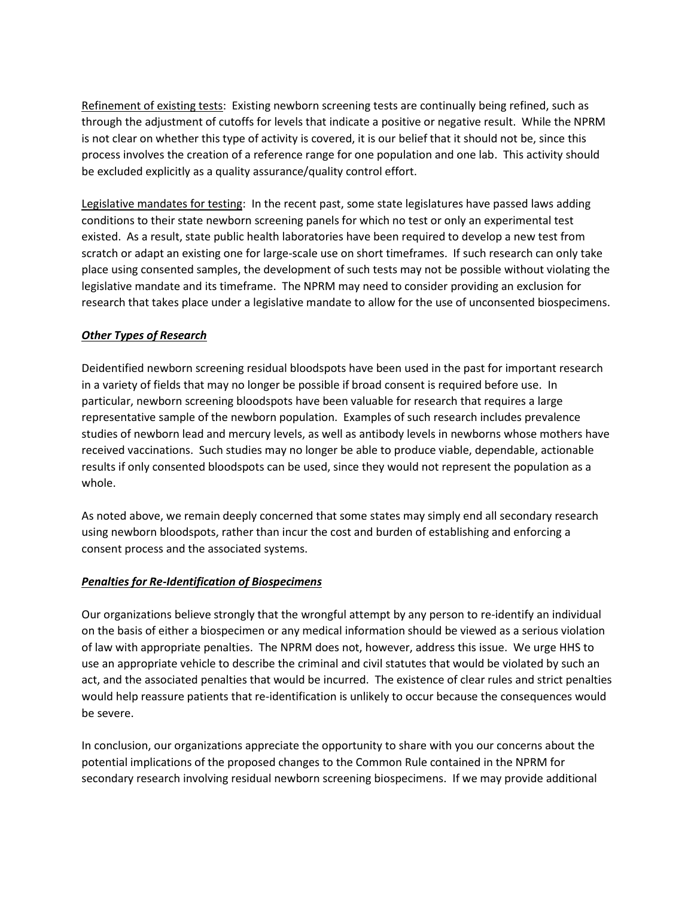Refinement of existing tests: Existing newborn screening tests are continually being refined, such as through the adjustment of cutoffs for levels that indicate a positive or negative result. While the NPRM is not clear on whether this type of activity is covered, it is our belief that it should not be, since this process involves the creation of a reference range for one population and one lab. This activity should be excluded explicitly as a quality assurance/quality control effort.

Legislative mandates for testing: In the recent past, some state legislatures have passed laws adding conditions to their state newborn screening panels for which no test or only an experimental test existed. As a result, state public health laboratories have been required to develop a new test from scratch or adapt an existing one for large-scale use on short timeframes. If such research can only take place using consented samples, the development of such tests may not be possible without violating the legislative mandate and its timeframe. The NPRM may need to consider providing an exclusion for research that takes place under a legislative mandate to allow for the use of unconsented biospecimens.

# *Other Types of Research*

Deidentified newborn screening residual bloodspots have been used in the past for important research in a variety of fields that may no longer be possible if broad consent is required before use. In particular, newborn screening bloodspots have been valuable for research that requires a large representative sample of the newborn population. Examples of such research includes prevalence studies of newborn lead and mercury levels, as well as antibody levels in newborns whose mothers have received vaccinations. Such studies may no longer be able to produce viable, dependable, actionable results if only consented bloodspots can be used, since they would not represent the population as a whole.

As noted above, we remain deeply concerned that some states may simply end all secondary research using newborn bloodspots, rather than incur the cost and burden of establishing and enforcing a consent process and the associated systems.

### *Penalties for Re-Identification of Biospecimens*

Our organizations believe strongly that the wrongful attempt by any person to re-identify an individual on the basis of either a biospecimen or any medical information should be viewed as a serious violation of law with appropriate penalties. The NPRM does not, however, address this issue. We urge HHS to use an appropriate vehicle to describe the criminal and civil statutes that would be violated by such an act, and the associated penalties that would be incurred. The existence of clear rules and strict penalties would help reassure patients that re-identification is unlikely to occur because the consequences would be severe.

In conclusion, our organizations appreciate the opportunity to share with you our concerns about the potential implications of the proposed changes to the Common Rule contained in the NPRM for secondary research involving residual newborn screening biospecimens. If we may provide additional